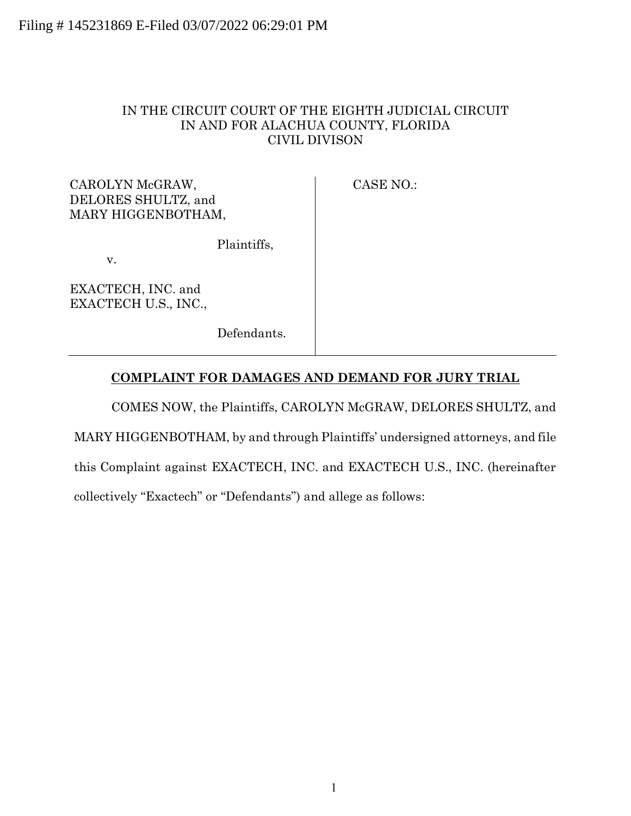## IN THE CIRCUIT COURT OF THE EIGHTH JUDICIAL CIRCUIT IN AND FOR ALACHUA COUNTY, FLORIDA CIVIL DIVISON

CAROLYN McGRAW, DELORES SHULTZ, and MARY HIGGENBOTHAM, CASE NO.:

Plaintiffs,

v.

EXACTECH, INC. and EXACTECH U.S., INC.,

Defendants.

# **COMPLAINT FOR DAMAGES AND DEMAND FOR JURY TRIAL**

COMES NOW, the Plaintiffs, CAROLYN McGRAW, DELORES SHULTZ, and MARY HIGGENBOTHAM, by and through Plaintiffs' undersigned attorneys, and file this Complaint against EXACTECH, INC. and EXACTECH U.S., INC. (hereinafter collectively "Exactech" or "Defendants") and allege as follows: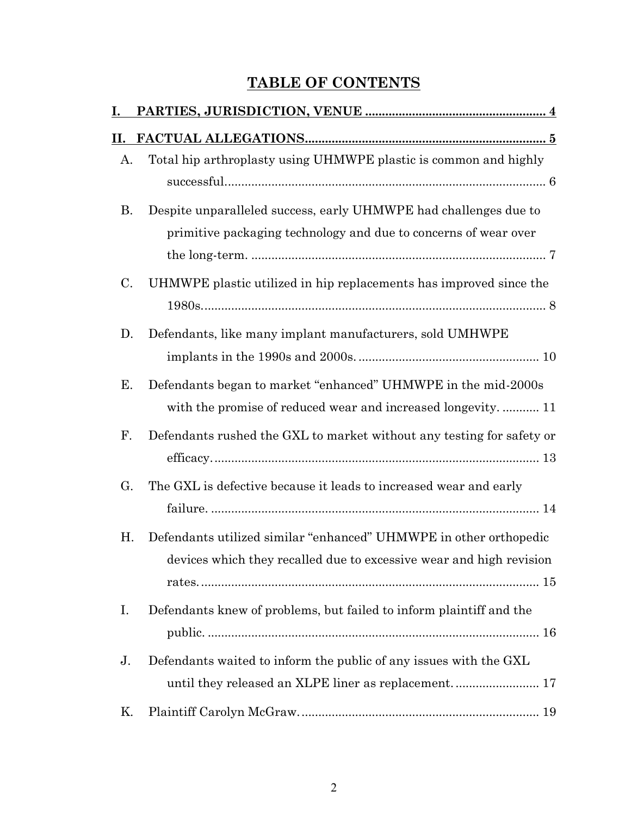# **TABLE OF CONTENTS**

| I. |                                                                       |
|----|-----------------------------------------------------------------------|
| Н. |                                                                       |
| А. | Total hip arthroplasty using UHMWPE plastic is common and highly      |
|    |                                                                       |
| B. | Despite unparalleled success, early UHMWPE had challenges due to      |
|    | primitive packaging technology and due to concerns of wear over       |
|    |                                                                       |
| C. | UHMWPE plastic utilized in hip replacements has improved since the    |
|    |                                                                       |
| D. | Defendants, like many implant manufacturers, sold UMHWPE              |
|    |                                                                       |
| Е. | Defendants began to market "enhanced" UHMWPE in the mid-2000s         |
|    | with the promise of reduced wear and increased longevity 11           |
| F. | Defendants rushed the GXL to market without any testing for safety or |
|    |                                                                       |
| G. | The GXL is defective because it leads to increased wear and early     |
|    |                                                                       |
| Η. | Defendants utilized similar "enhanced" UHMWPE in other orthopedic     |
|    | devices which they recalled due to excessive wear and high revision   |
|    |                                                                       |
| Ι. | Defendants knew of problems, but failed to inform plaintiff and the   |
|    |                                                                       |
| J. | Defendants waited to inform the public of any issues with the GXL     |
|    |                                                                       |
| Κ. |                                                                       |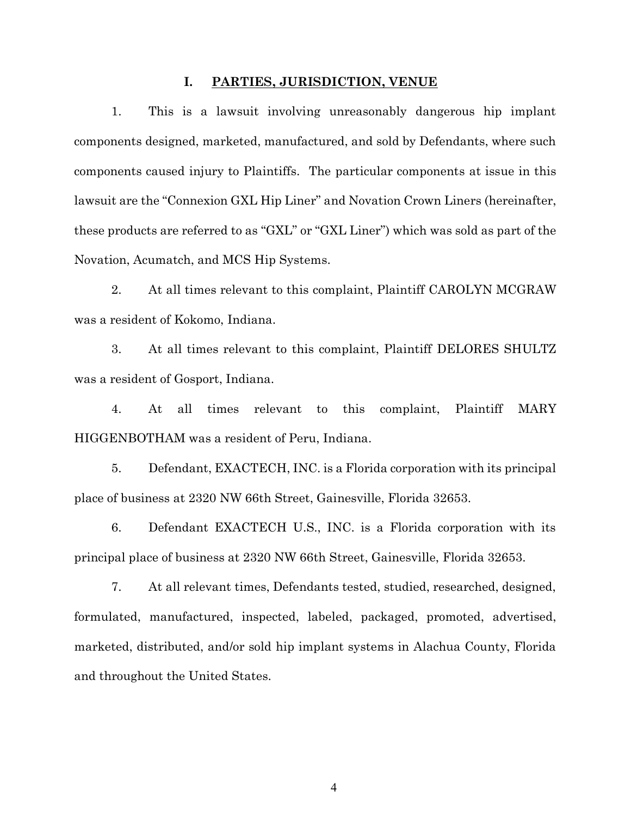#### **I. PARTIES, JURISDICTION, VENUE**

<span id="page-3-0"></span>1. This is a lawsuit involving unreasonably dangerous hip implant components designed, marketed, manufactured, and sold by Defendants, where such components caused injury to Plaintiffs. The particular components at issue in this lawsuit are the "Connexion GXL Hip Liner" and Novation Crown Liners (hereinafter, these products are referred to as "GXL" or "GXL Liner") which was sold as part of the Novation, Acumatch, and MCS Hip Systems.

2. At all times relevant to this complaint, Plaintiff CAROLYN MCGRAW was a resident of Kokomo, Indiana.

3. At all times relevant to this complaint, Plaintiff DELORES SHULTZ was a resident of Gosport, Indiana.

4. At all times relevant to this complaint, Plaintiff MARY HIGGENBOTHAM was a resident of Peru, Indiana.

5. Defendant, EXACTECH, INC. is a Florida corporation with its principal place of business at 2320 NW 66th Street, Gainesville, Florida 32653.

6. Defendant EXACTECH U.S., INC. is a Florida corporation with its principal place of business at 2320 NW 66th Street, Gainesville, Florida 32653.

7. At all relevant times, Defendants tested, studied, researched, designed, formulated, manufactured, inspected, labeled, packaged, promoted, advertised, marketed, distributed, and/or sold hip implant systems in Alachua County, Florida and throughout the United States.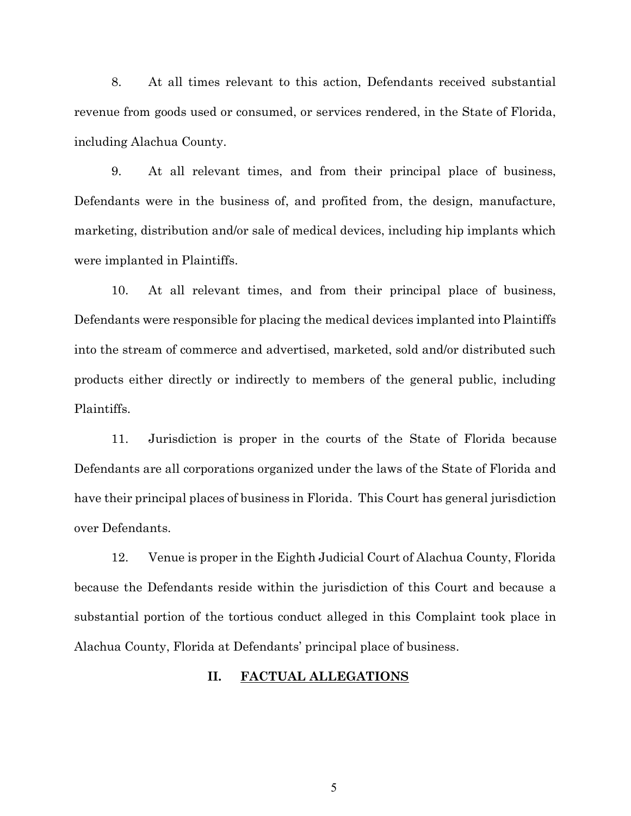8. At all times relevant to this action, Defendants received substantial revenue from goods used or consumed, or services rendered, in the State of Florida, including Alachua County.

9. At all relevant times, and from their principal place of business, Defendants were in the business of, and profited from, the design, manufacture, marketing, distribution and/or sale of medical devices, including hip implants which were implanted in Plaintiffs.

10. At all relevant times, and from their principal place of business, Defendants were responsible for placing the medical devices implanted into Plaintiffs into the stream of commerce and advertised, marketed, sold and/or distributed such products either directly or indirectly to members of the general public, including Plaintiffs.

11. Jurisdiction is proper in the courts of the State of Florida because Defendants are all corporations organized under the laws of the State of Florida and have their principal places of business in Florida. This Court has general jurisdiction over Defendants.

<span id="page-4-0"></span>12. Venue is proper in the Eighth Judicial Court of Alachua County, Florida because the Defendants reside within the jurisdiction of this Court and because a substantial portion of the tortious conduct alleged in this Complaint took place in Alachua County, Florida at Defendants' principal place of business.

## **II. FACTUAL ALLEGATIONS**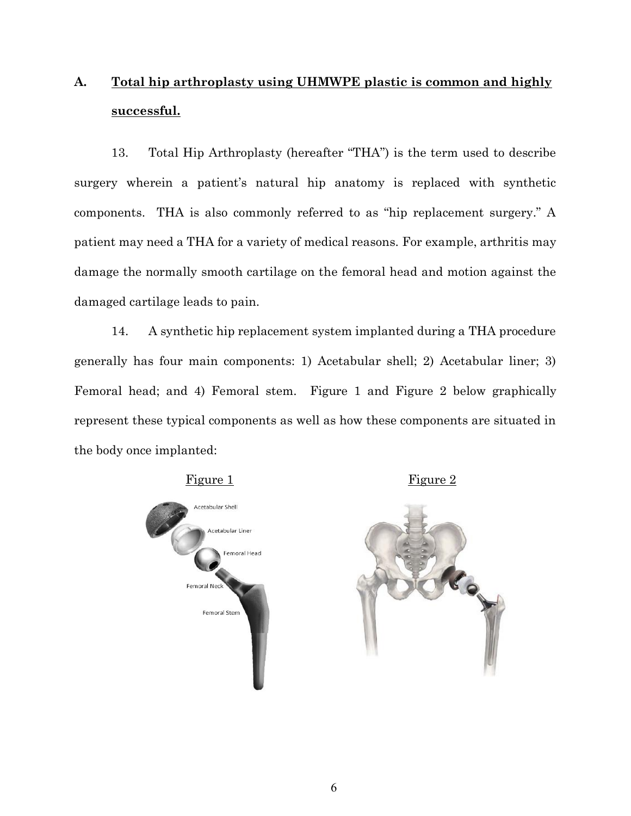# <span id="page-5-0"></span>**A. Total hip arthroplasty using UHMWPE plastic is common and highly successful.**

13. Total Hip Arthroplasty (hereafter "THA") is the term used to describe surgery wherein a patient's natural hip anatomy is replaced with synthetic components. THA is also commonly referred to as "hip replacement surgery." A patient may need a THA for a variety of medical reasons. For example, arthritis may damage the normally smooth cartilage on the femoral head and motion against the damaged cartilage leads to pain.

14. A synthetic hip replacement system implanted during a THA procedure generally has four main components: 1) Acetabular shell; 2) Acetabular liner; 3) Femoral head; and 4) Femoral stem. Figure 1 and Figure 2 below graphically represent these typical components as well as how these components are situated in the body once implanted:

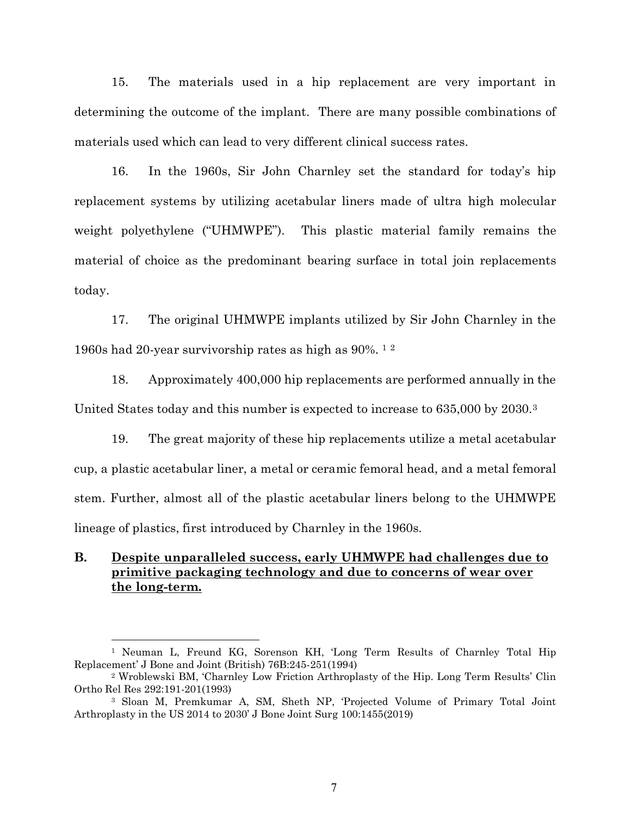15. The materials used in a hip replacement are very important in determining the outcome of the implant. There are many possible combinations of materials used which can lead to very different clinical success rates.

16. In the 1960s, Sir John Charnley set the standard for today's hip replacement systems by utilizing acetabular liners made of ultra high molecular weight polyethylene ("UHMWPE"). This plastic material family remains the material of choice as the predominant bearing surface in total join replacements today.

17. The original UHMWPE implants utilized by Sir John Charnley in the 1960s had 20-year survivorship rates as high as 90%. <sup>1</sup> <sup>2</sup>

18. Approximately 400,000 hip replacements are performed annually in the United States today and this number is expected to increase to 635,000 by 2030.<sup>3</sup>

19. The great majority of these hip replacements utilize a metal acetabular cup, a plastic acetabular liner, a metal or ceramic femoral head, and a metal femoral stem. Further, almost all of the plastic acetabular liners belong to the UHMWPE lineage of plastics, first introduced by Charnley in the 1960s.

## <span id="page-6-0"></span>**B. Despite unparalleled success, early UHMWPE had challenges due to primitive packaging technology and due to concerns of wear over the long-term.**

<sup>1</sup> Neuman L, Freund KG, Sorenson KH, 'Long Term Results of Charnley Total Hip Replacement' J Bone and Joint (British) 76B:245-251(1994)

<sup>2</sup> Wroblewski BM, 'Charnley Low Friction Arthroplasty of the Hip. Long Term Results' Clin Ortho Rel Res 292:191-201(1993)

<sup>3</sup> Sloan M, Premkumar A, SM, Sheth NP, 'Projected Volume of Primary Total Joint Arthroplasty in the US 2014 to 2030' J Bone Joint Surg 100:1455(2019)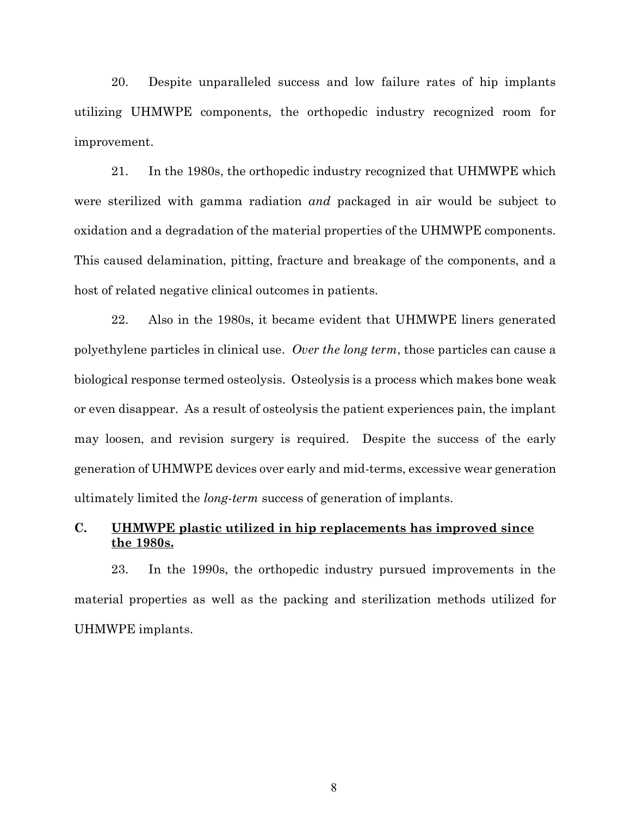20. Despite unparalleled success and low failure rates of hip implants utilizing UHMWPE components, the orthopedic industry recognized room for improvement.

21. In the 1980s, the orthopedic industry recognized that UHMWPE which were sterilized with gamma radiation *and* packaged in air would be subject to oxidation and a degradation of the material properties of the UHMWPE components. This caused delamination, pitting, fracture and breakage of the components, and a host of related negative clinical outcomes in patients.

22. Also in the 1980s, it became evident that UHMWPE liners generated polyethylene particles in clinical use. *Over the long term*, those particles can cause a biological response termed osteolysis. Osteolysis is a process which makes bone weak or even disappear. As a result of osteolysis the patient experiences pain, the implant may loosen, and revision surgery is required. Despite the success of the early generation of UHMWPE devices over early and mid-terms, excessive wear generation ultimately limited the *long-term* success of generation of implants.

# <span id="page-7-0"></span>**C. UHMWPE plastic utilized in hip replacements has improved since the 1980s.**

23. In the 1990s, the orthopedic industry pursued improvements in the material properties as well as the packing and sterilization methods utilized for UHMWPE implants.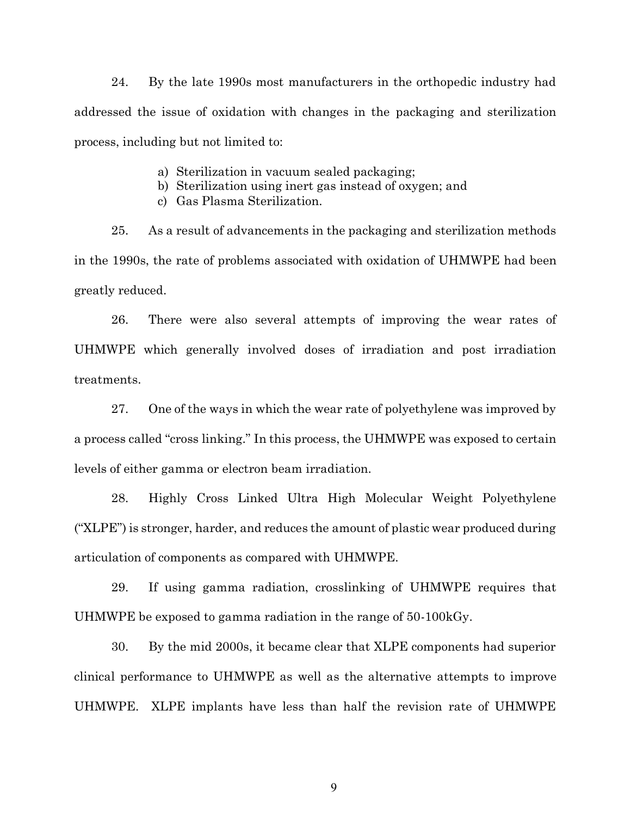24. By the late 1990s most manufacturers in the orthopedic industry had addressed the issue of oxidation with changes in the packaging and sterilization process, including but not limited to:

- a) Sterilization in vacuum sealed packaging;
- b) Sterilization using inert gas instead of oxygen; and
- c) Gas Plasma Sterilization.

25. As a result of advancements in the packaging and sterilization methods in the 1990s, the rate of problems associated with oxidation of UHMWPE had been greatly reduced.

26. There were also several attempts of improving the wear rates of UHMWPE which generally involved doses of irradiation and post irradiation treatments.

27. One of the ways in which the wear rate of polyethylene was improved by a process called "cross linking." In this process, the UHMWPE was exposed to certain levels of either gamma or electron beam irradiation.

28. Highly Cross Linked Ultra High Molecular Weight Polyethylene ("XLPE") is stronger, harder, and reduces the amount of plastic wear produced during articulation of components as compared with UHMWPE.

29. If using gamma radiation, crosslinking of UHMWPE requires that UHMWPE be exposed to gamma radiation in the range of 50-100kGy.

30. By the mid 2000s, it became clear that XLPE components had superior clinical performance to UHMWPE as well as the alternative attempts to improve UHMWPE. XLPE implants have less than half the revision rate of UHMWPE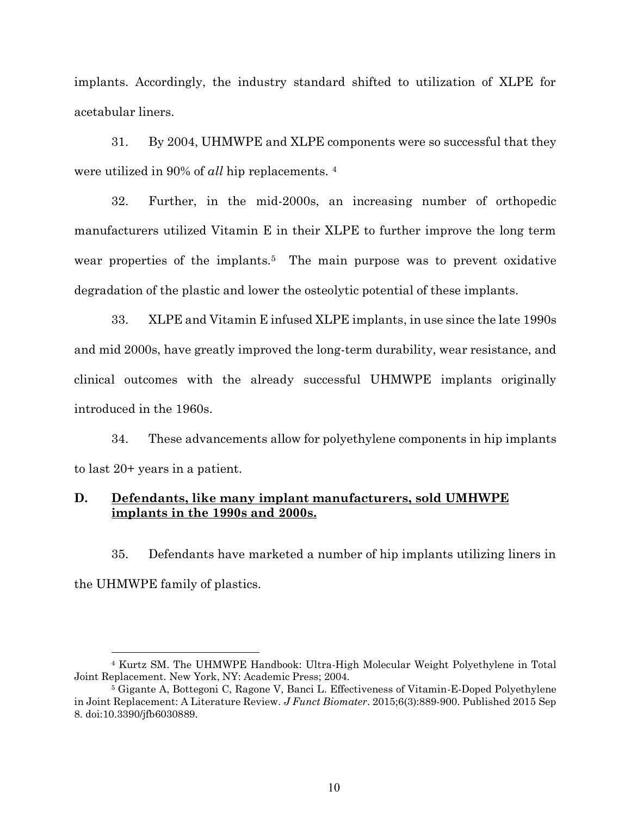implants. Accordingly, the industry standard shifted to utilization of XLPE for acetabular liners.

31. By 2004, UHMWPE and XLPE components were so successful that they were utilized in 90% of *all* hip replacements. <sup>4</sup>

32. Further, in the mid-2000s, an increasing number of orthopedic manufacturers utilized Vitamin E in their XLPE to further improve the long term wear properties of the implants.<sup>5</sup> The main purpose was to prevent oxidative degradation of the plastic and lower the osteolytic potential of these implants.

33. XLPE and Vitamin E infused XLPE implants, in use since the late 1990s and mid 2000s, have greatly improved the long-term durability, wear resistance, and clinical outcomes with the already successful UHMWPE implants originally introduced in the 1960s.

34. These advancements allow for polyethylene components in hip implants to last 20+ years in a patient.

## <span id="page-9-0"></span>**D. Defendants, like many implant manufacturers, sold UMHWPE implants in the 1990s and 2000s.**

35. Defendants have marketed a number of hip implants utilizing liners in the UHMWPE family of plastics.

<sup>4</sup> Kurtz SM. The UHMWPE Handbook: Ultra-High Molecular Weight Polyethylene in Total Joint Replacement. New York, NY: Academic Press; 2004.

<sup>5</sup> Gigante A, Bottegoni C, Ragone V, Banci L. Effectiveness of Vitamin-E-Doped Polyethylene in Joint Replacement: A Literature Review. *J Funct Biomater*. 2015;6(3):889-900. Published 2015 Sep 8. doi:10.3390/jfb6030889.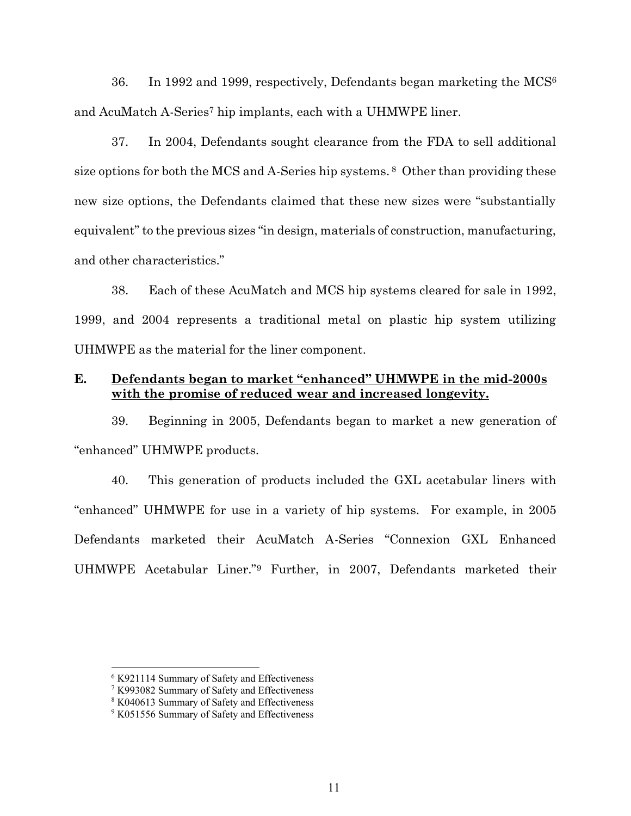36. In 1992 and 1999, respectively, Defendants began marketing the  $MCS<sup>6</sup>$ and AcuMatch A-Series<sup>7</sup> hip implants, each with a UHMWPE liner.

37. In 2004, Defendants sought clearance from the FDA to sell additional size options for both the MCS and A-Series hip systems. <sup>8</sup> Other than providing these new size options, the Defendants claimed that these new sizes were "substantially equivalent" to the previous sizes "in design, materials of construction, manufacturing, and other characteristics."

38. Each of these AcuMatch and MCS hip systems cleared for sale in 1992, 1999, and 2004 represents a traditional metal on plastic hip system utilizing UHMWPE as the material for the liner component.

## <span id="page-10-0"></span>**E. Defendants began to market "enhanced" UHMWPE in the mid-2000s with the promise of reduced wear and increased longevity.**

39. Beginning in 2005, Defendants began to market a new generation of "enhanced" UHMWPE products.

40. This generation of products included the GXL acetabular liners with "enhanced" UHMWPE for use in a variety of hip systems. For example, in 2005 Defendants marketed their AcuMatch A-Series "Connexion GXL Enhanced UHMWPE Acetabular Liner."<sup>9</sup> Further, in 2007, Defendants marketed their

<sup>6</sup> K921114 Summary of Safety and Effectiveness

<sup>7</sup> K993082 Summary of Safety and Effectiveness

<sup>8</sup> K040613 Summary of Safety and Effectiveness

<sup>&</sup>lt;sup>9</sup> K051556 Summary of Safety and Effectiveness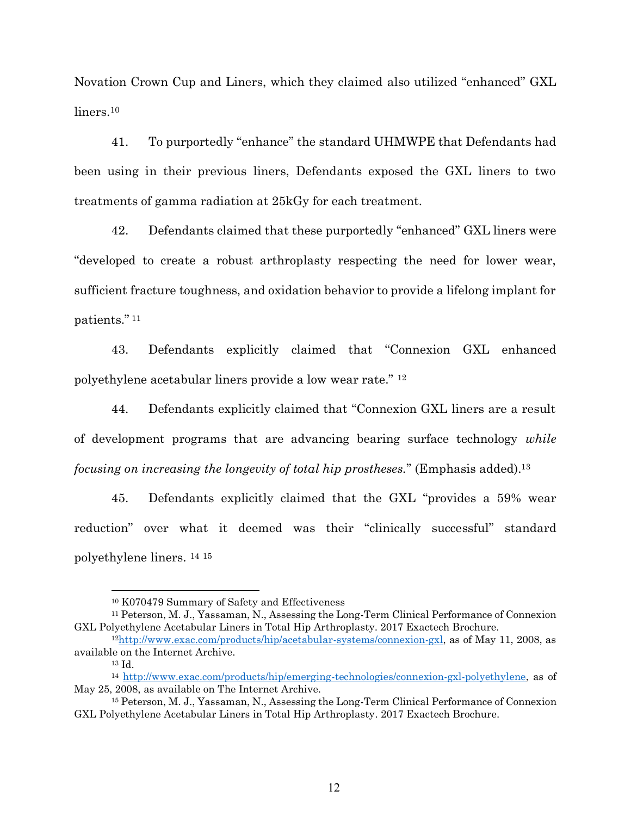Novation Crown Cup and Liners, which they claimed also utilized "enhanced" GXL liners. 10

41. To purportedly "enhance" the standard UHMWPE that Defendants had been using in their previous liners, Defendants exposed the GXL liners to two treatments of gamma radiation at 25kGy for each treatment.

42. Defendants claimed that these purportedly "enhanced" GXL liners were "developed to create a robust arthroplasty respecting the need for lower wear, sufficient fracture toughness, and oxidation behavior to provide a lifelong implant for patients." <sup>11</sup>

43. Defendants explicitly claimed that "Connexion GXL enhanced polyethylene acetabular liners provide a low wear rate." <sup>12</sup>

44. Defendants explicitly claimed that "Connexion GXL liners are a result of development programs that are advancing bearing surface technology *while focusing on increasing the longevity of total hip prostheses.*" (Emphasis added).<sup>13</sup>

45. Defendants explicitly claimed that the GXL "provides a 59% wear reduction" over what it deemed was their "clinically successful" standard polyethylene liners. 14 15

<sup>10</sup> K070479 Summary of Safety and Effectiveness

<sup>11</sup> Peterson, M. J., Yassaman, N., Assessing the Long-Term Clinical Performance of Connexion GXL Polyethylene Acetabular Liners in Total Hip Arthroplasty. 2017 Exactech Brochure.

<sup>12</sup>[http://www.exac.com/products/hip/acetabular-systems/connexion-gxl,](http://www.exac.com/products/hip/acetabular-systems/connexion-gxl) as of May 11, 2008, as available on the Internet Archive.

<sup>13</sup> Id.

<sup>14</sup> [http://www.exac.com/products/hip/emerging-technologies/connexion-gxl-polyethylene,](http://www.exac.com/products/hip/emerging-technologies/connexion-gxl-polyethylene) as of May 25, 2008, as available on The Internet Archive.

<sup>15</sup> Peterson, M. J., Yassaman, N., Assessing the Long-Term Clinical Performance of Connexion GXL Polyethylene Acetabular Liners in Total Hip Arthroplasty. 2017 Exactech Brochure.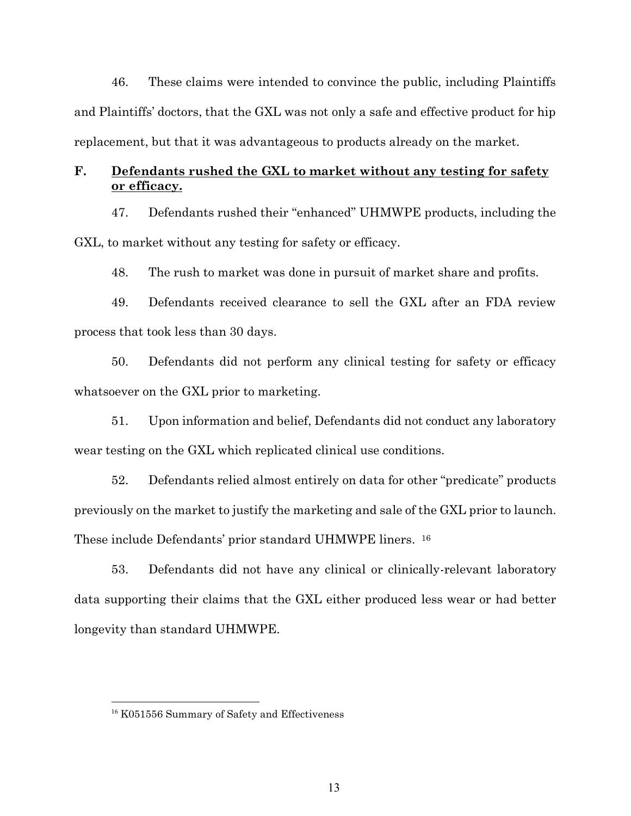46. These claims were intended to convince the public, including Plaintiffs and Plaintiffs' doctors, that the GXL was not only a safe and effective product for hip replacement, but that it was advantageous to products already on the market.

## <span id="page-12-0"></span>**F. Defendants rushed the GXL to market without any testing for safety or efficacy.**

47. Defendants rushed their "enhanced" UHMWPE products, including the GXL, to market without any testing for safety or efficacy.

48. The rush to market was done in pursuit of market share and profits.

49. Defendants received clearance to sell the GXL after an FDA review process that took less than 30 days.

50. Defendants did not perform any clinical testing for safety or efficacy whatsoever on the GXL prior to marketing.

51. Upon information and belief, Defendants did not conduct any laboratory wear testing on the GXL which replicated clinical use conditions.

52. Defendants relied almost entirely on data for other "predicate" products previously on the market to justify the marketing and sale of the GXL prior to launch. These include Defendants' prior standard UHMWPE liners. <sup>16</sup>

53. Defendants did not have any clinical or clinically-relevant laboratory data supporting their claims that the GXL either produced less wear or had better longevity than standard UHMWPE.

<sup>16</sup> K051556 Summary of Safety and Effectiveness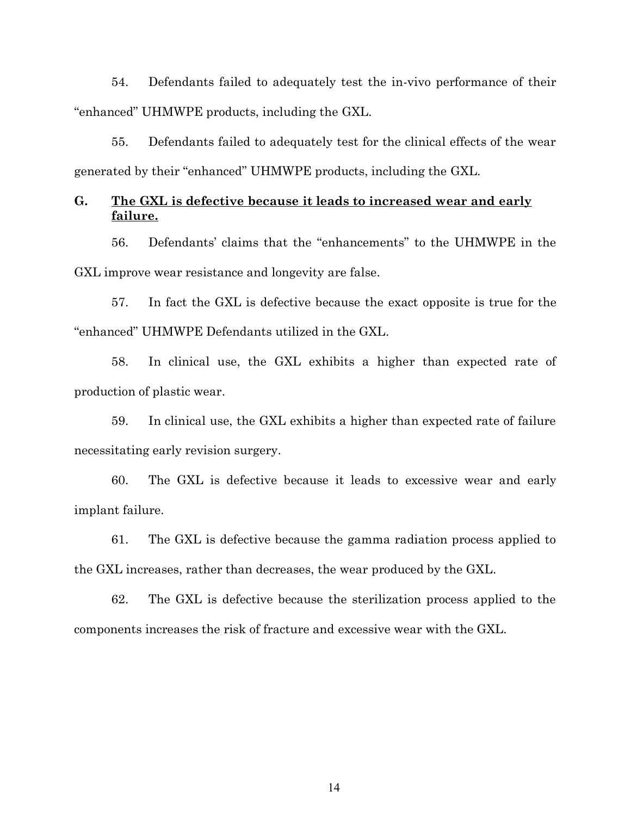54. Defendants failed to adequately test the in-vivo performance of their "enhanced" UHMWPE products, including the GXL.

55. Defendants failed to adequately test for the clinical effects of the wear generated by their "enhanced" UHMWPE products, including the GXL.

## <span id="page-13-0"></span>**G. The GXL is defective because it leads to increased wear and early failure.**

56. Defendants' claims that the "enhancements" to the UHMWPE in the GXL improve wear resistance and longevity are false.

57. In fact the GXL is defective because the exact opposite is true for the "enhanced" UHMWPE Defendants utilized in the GXL.

58. In clinical use, the GXL exhibits a higher than expected rate of production of plastic wear.

59. In clinical use, the GXL exhibits a higher than expected rate of failure necessitating early revision surgery.

60. The GXL is defective because it leads to excessive wear and early implant failure.

61. The GXL is defective because the gamma radiation process applied to the GXL increases, rather than decreases, the wear produced by the GXL.

62. The GXL is defective because the sterilization process applied to the components increases the risk of fracture and excessive wear with the GXL.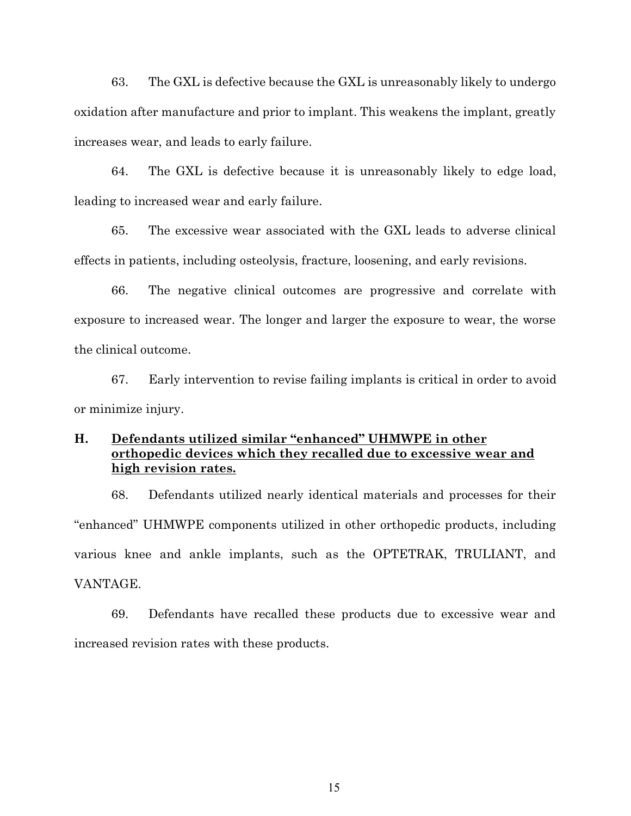63. The GXL is defective because the GXL is unreasonably likely to undergo oxidation after manufacture and prior to implant. This weakens the implant, greatly increases wear, and leads to early failure.

64. The GXL is defective because it is unreasonably likely to edge load, leading to increased wear and early failure.

65. The excessive wear associated with the GXL leads to adverse clinical effects in patients, including osteolysis, fracture, loosening, and early revisions.

66. The negative clinical outcomes are progressive and correlate with exposure to increased wear. The longer and larger the exposure to wear, the worse the clinical outcome.

67. Early intervention to revise failing implants is critical in order to avoid or minimize injury.

## <span id="page-14-0"></span>**H. Defendants utilized similar "enhanced" UHMWPE in other orthopedic devices which they recalled due to excessive wear and high revision rates.**

68. Defendants utilized nearly identical materials and processes for their "enhanced" UHMWPE components utilized in other orthopedic products, including various knee and ankle implants, such as the OPTETRAK, TRULIANT, and VANTAGE.

69. Defendants have recalled these products due to excessive wear and increased revision rates with these products.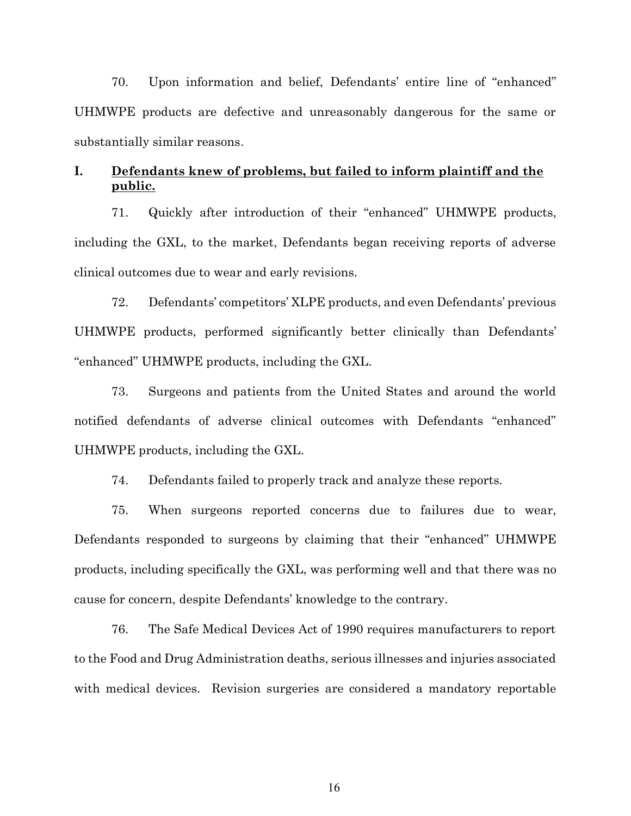70. Upon information and belief, Defendants' entire line of "enhanced" UHMWPE products are defective and unreasonably dangerous for the same or substantially similar reasons.

## <span id="page-15-0"></span>**I. Defendants knew of problems, but failed to inform plaintiff and the public.**

71. Quickly after introduction of their "enhanced" UHMWPE products, including the GXL, to the market, Defendants began receiving reports of adverse clinical outcomes due to wear and early revisions.

72. Defendants' competitors' XLPE products, and even Defendants' previous UHMWPE products, performed significantly better clinically than Defendants' "enhanced" UHMWPE products, including the GXL.

73. Surgeons and patients from the United States and around the world notified defendants of adverse clinical outcomes with Defendants "enhanced" UHMWPE products, including the GXL.

74. Defendants failed to properly track and analyze these reports.

75. When surgeons reported concerns due to failures due to wear, Defendants responded to surgeons by claiming that their "enhanced" UHMWPE products, including specifically the GXL, was performing well and that there was no cause for concern, despite Defendants' knowledge to the contrary.

76. The Safe Medical Devices Act of 1990 requires manufacturers to report to the Food and Drug Administration deaths, serious illnesses and injuries associated with medical devices. Revision surgeries are considered a mandatory reportable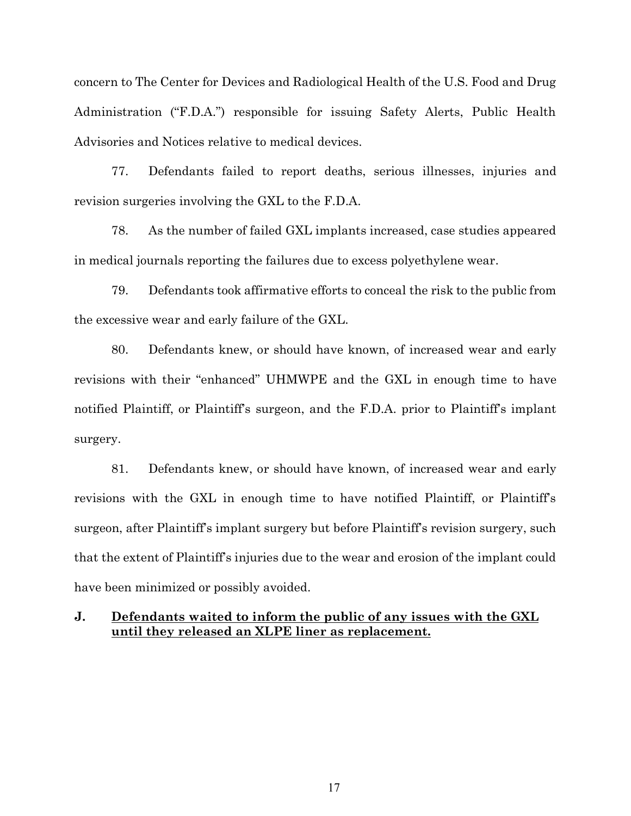concern to The Center for Devices and Radiological Health of the U.S. Food and Drug Administration ("F.D.A.") responsible for issuing Safety Alerts, Public Health Advisories and Notices relative to medical devices.

77. Defendants failed to report deaths, serious illnesses, injuries and revision surgeries involving the GXL to the F.D.A.

78. As the number of failed GXL implants increased, case studies appeared in medical journals reporting the failures due to excess polyethylene wear.

79. Defendants took affirmative efforts to conceal the risk to the public from the excessive wear and early failure of the GXL.

80. Defendants knew, or should have known, of increased wear and early revisions with their "enhanced" UHMWPE and the GXL in enough time to have notified Plaintiff, or Plaintiff's surgeon, and the F.D.A. prior to Plaintiff's implant surgery.

81. Defendants knew, or should have known, of increased wear and early revisions with the GXL in enough time to have notified Plaintiff, or Plaintiff's surgeon, after Plaintiff's implant surgery but before Plaintiff's revision surgery, such that the extent of Plaintiff's injuries due to the wear and erosion of the implant could have been minimized or possibly avoided.

### <span id="page-16-0"></span>**J. Defendants waited to inform the public of any issues with the GXL until they released an XLPE liner as replacement.**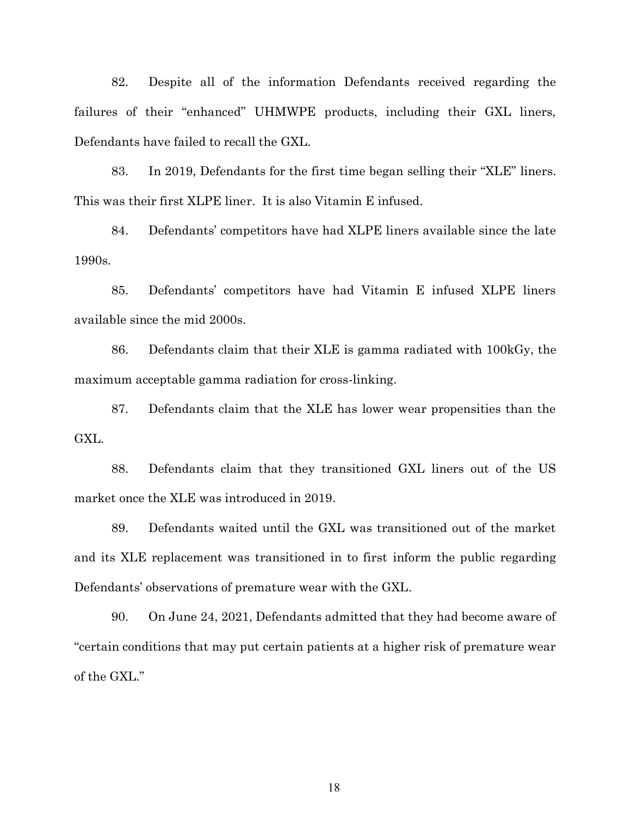82. Despite all of the information Defendants received regarding the failures of their "enhanced" UHMWPE products, including their GXL liners, Defendants have failed to recall the GXL.

83. In 2019, Defendants for the first time began selling their "XLE" liners. This was their first XLPE liner. It is also Vitamin E infused.

84. Defendants' competitors have had XLPE liners available since the late 1990s.

85. Defendants' competitors have had Vitamin E infused XLPE liners available since the mid 2000s.

86. Defendants claim that their XLE is gamma radiated with 100kGy, the maximum acceptable gamma radiation for cross-linking.

87. Defendants claim that the XLE has lower wear propensities than the GXL.

88. Defendants claim that they transitioned GXL liners out of the US market once the XLE was introduced in 2019.

89. Defendants waited until the GXL was transitioned out of the market and its XLE replacement was transitioned in to first inform the public regarding Defendants' observations of premature wear with the GXL.

90. On June 24, 2021, Defendants admitted that they had become aware of "certain conditions that may put certain patients at a higher risk of premature wear of the GXL."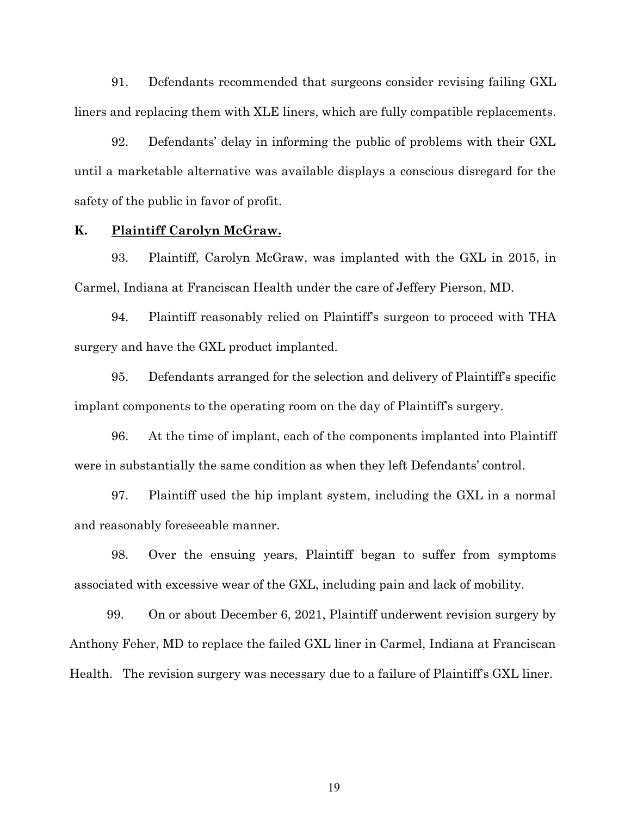91. Defendants recommended that surgeons consider revising failing GXL liners and replacing them with XLE liners, which are fully compatible replacements.

92. Defendants' delay in informing the public of problems with their GXL until a marketable alternative was available displays a conscious disregard for the safety of the public in favor of profit.

#### <span id="page-18-0"></span>**K. Plaintiff Carolyn McGraw.**

93. Plaintiff, Carolyn McGraw, was implanted with the GXL in 2015, in Carmel, Indiana at Franciscan Health under the care of Jeffery Pierson, MD.

94. Plaintiff reasonably relied on Plaintiff's surgeon to proceed with THA surgery and have the GXL product implanted.

95. Defendants arranged for the selection and delivery of Plaintiff's specific implant components to the operating room on the day of Plaintiff's surgery.

96. At the time of implant, each of the components implanted into Plaintiff were in substantially the same condition as when they left Defendants' control.

97. Plaintiff used the hip implant system, including the GXL in a normal and reasonably foreseeable manner.

98. Over the ensuing years, Plaintiff began to suffer from symptoms associated with excessive wear of the GXL, including pain and lack of mobility.

99. On or about December 6, 2021, Plaintiff underwent revision surgery by Anthony Feher, MD to replace the failed GXL liner in Carmel, Indiana at Franciscan Health. The revision surgery was necessary due to a failure of Plaintiff's GXL liner.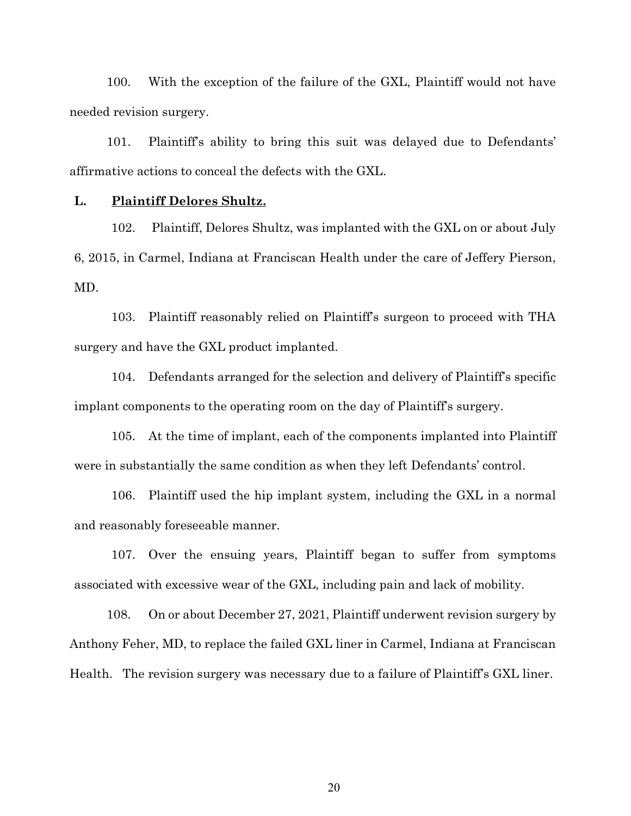100. With the exception of the failure of the GXL, Plaintiff would not have needed revision surgery.

101. Plaintiff's ability to bring this suit was delayed due to Defendants' affirmative actions to conceal the defects with the GXL.

#### <span id="page-19-0"></span>**L. Plaintiff Delores Shultz.**

102. Plaintiff, Delores Shultz, was implanted with the GXL on or about July 6, 2015, in Carmel, Indiana at Franciscan Health under the care of Jeffery Pierson, MD.

103. Plaintiff reasonably relied on Plaintiff's surgeon to proceed with THA surgery and have the GXL product implanted.

104. Defendants arranged for the selection and delivery of Plaintiff's specific implant components to the operating room on the day of Plaintiff's surgery.

105. At the time of implant, each of the components implanted into Plaintiff were in substantially the same condition as when they left Defendants' control.

106. Plaintiff used the hip implant system, including the GXL in a normal and reasonably foreseeable manner.

107. Over the ensuing years, Plaintiff began to suffer from symptoms associated with excessive wear of the GXL, including pain and lack of mobility.

108. On or about December 27, 2021, Plaintiff underwent revision surgery by Anthony Feher, MD, to replace the failed GXL liner in Carmel, Indiana at Franciscan Health. The revision surgery was necessary due to a failure of Plaintiff's GXL liner.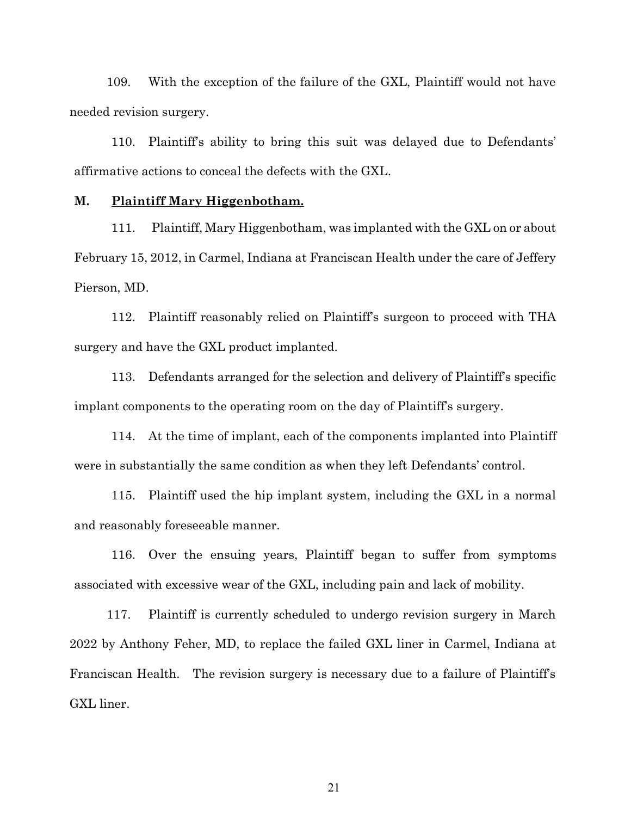109. With the exception of the failure of the GXL, Plaintiff would not have needed revision surgery.

110. Plaintiff's ability to bring this suit was delayed due to Defendants' affirmative actions to conceal the defects with the GXL.

#### <span id="page-20-0"></span>**M. Plaintiff Mary Higgenbotham.**

111. Plaintiff, Mary Higgenbotham, was implanted with the GXL on or about February 15, 2012, in Carmel, Indiana at Franciscan Health under the care of Jeffery Pierson, MD.

112. Plaintiff reasonably relied on Plaintiff's surgeon to proceed with THA surgery and have the GXL product implanted.

113. Defendants arranged for the selection and delivery of Plaintiff's specific implant components to the operating room on the day of Plaintiff's surgery.

114. At the time of implant, each of the components implanted into Plaintiff were in substantially the same condition as when they left Defendants' control.

115. Plaintiff used the hip implant system, including the GXL in a normal and reasonably foreseeable manner.

116. Over the ensuing years, Plaintiff began to suffer from symptoms associated with excessive wear of the GXL, including pain and lack of mobility.

117. Plaintiff is currently scheduled to undergo revision surgery in March 2022 by Anthony Feher, MD, to replace the failed GXL liner in Carmel, Indiana at Franciscan Health. The revision surgery is necessary due to a failure of Plaintiff's GXL liner.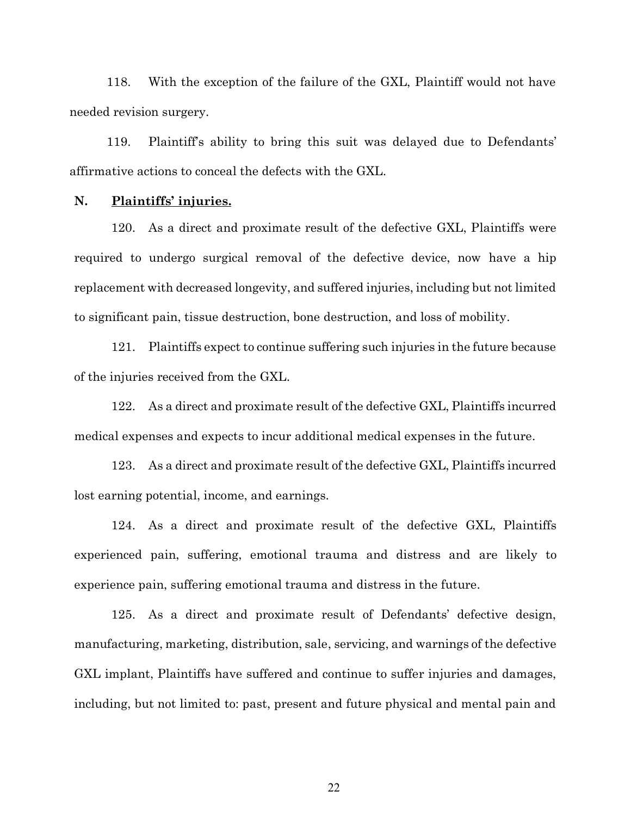118. With the exception of the failure of the GXL, Plaintiff would not have needed revision surgery.

119. Plaintiff's ability to bring this suit was delayed due to Defendants' affirmative actions to conceal the defects with the GXL.

#### <span id="page-21-0"></span>**N. Plaintiffs' injuries.**

120. As a direct and proximate result of the defective GXL, Plaintiffs were required to undergo surgical removal of the defective device, now have a hip replacement with decreased longevity, and suffered injuries, including but not limited to significant pain, tissue destruction, bone destruction, and loss of mobility.

121. Plaintiffs expect to continue suffering such injuries in the future because of the injuries received from the GXL.

122. As a direct and proximate result of the defective GXL, Plaintiffs incurred medical expenses and expects to incur additional medical expenses in the future.

123. As a direct and proximate result of the defective GXL, Plaintiffs incurred lost earning potential, income, and earnings.

124. As a direct and proximate result of the defective GXL, Plaintiffs experienced pain, suffering, emotional trauma and distress and are likely to experience pain, suffering emotional trauma and distress in the future.

125. As a direct and proximate result of Defendants' defective design, manufacturing, marketing, distribution, sale, servicing, and warnings of the defective GXL implant, Plaintiffs have suffered and continue to suffer injuries and damages, including, but not limited to: past, present and future physical and mental pain and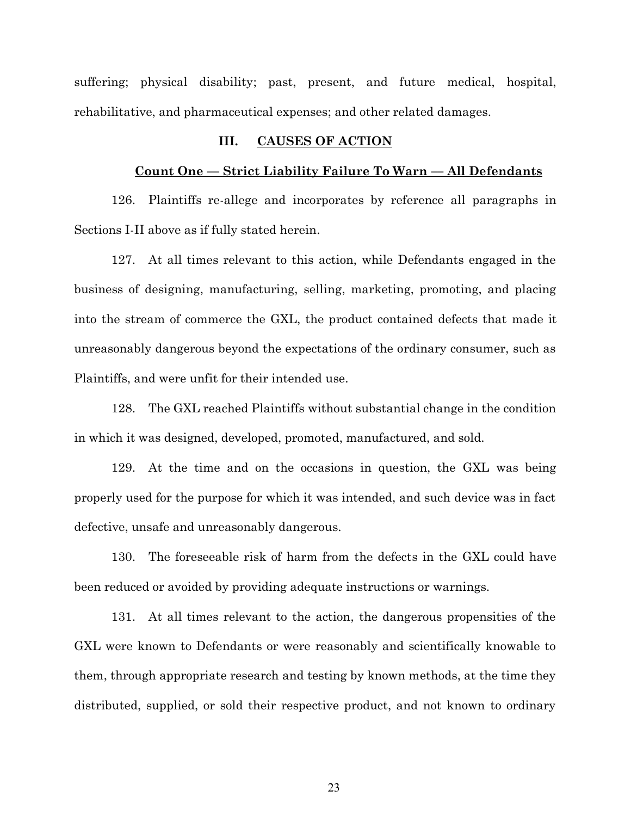<span id="page-22-0"></span>suffering; physical disability; past, present, and future medical, hospital, rehabilitative, and pharmaceutical expenses; and other related damages.

#### **III. CAUSES OF ACTION**

#### **Count One –– Strict Liability Failure To Warn –– All Defendants**

126. Plaintiffs re-allege and incorporates by reference all paragraphs in Sections I-II above as if fully stated herein.

127. At all times relevant to this action, while Defendants engaged in the business of designing, manufacturing, selling, marketing, promoting, and placing into the stream of commerce the GXL, the product contained defects that made it unreasonably dangerous beyond the expectations of the ordinary consumer, such as Plaintiffs, and were unfit for their intended use.

128. The GXL reached Plaintiffs without substantial change in the condition in which it was designed, developed, promoted, manufactured, and sold.

129. At the time and on the occasions in question, the GXL was being properly used for the purpose for which it was intended, and such device was in fact defective, unsafe and unreasonably dangerous.

130. The foreseeable risk of harm from the defects in the GXL could have been reduced or avoided by providing adequate instructions or warnings.

131. At all times relevant to the action, the dangerous propensities of the GXL were known to Defendants or were reasonably and scientifically knowable to them, through appropriate research and testing by known methods, at the time they distributed, supplied, or sold their respective product, and not known to ordinary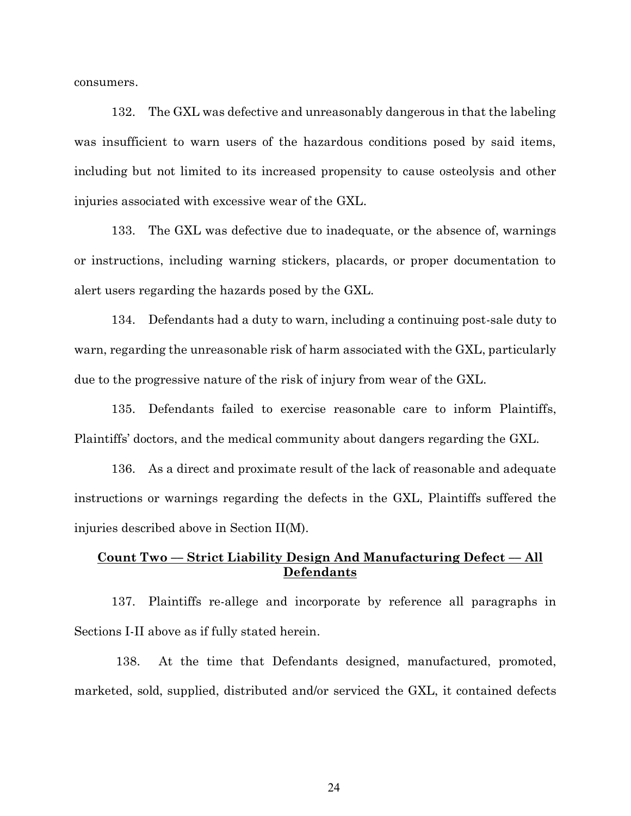consumers.

132. The GXL was defective and unreasonably dangerous in that the labeling was insufficient to warn users of the hazardous conditions posed by said items, including but not limited to its increased propensity to cause osteolysis and other injuries associated with excessive wear of the GXL.

133. The GXL was defective due to inadequate, or the absence of, warnings or instructions, including warning stickers, placards, or proper documentation to alert users regarding the hazards posed by the GXL.

134. Defendants had a duty to warn, including a continuing post-sale duty to warn, regarding the unreasonable risk of harm associated with the GXL, particularly due to the progressive nature of the risk of injury from wear of the GXL.

135. Defendants failed to exercise reasonable care to inform Plaintiffs, Plaintiffs' doctors, and the medical community about dangers regarding the GXL.

136. As a direct and proximate result of the lack of reasonable and adequate instructions or warnings regarding the defects in the GXL, Plaintiffs suffered the injuries described above in Section II(M).

## **Count Two –– Strict Liability Design And Manufacturing Defect –– All Defendants**

137. Plaintiffs re-allege and incorporate by reference all paragraphs in Sections I-II above as if fully stated herein.

138. At the time that Defendants designed, manufactured, promoted, marketed, sold, supplied, distributed and/or serviced the GXL, it contained defects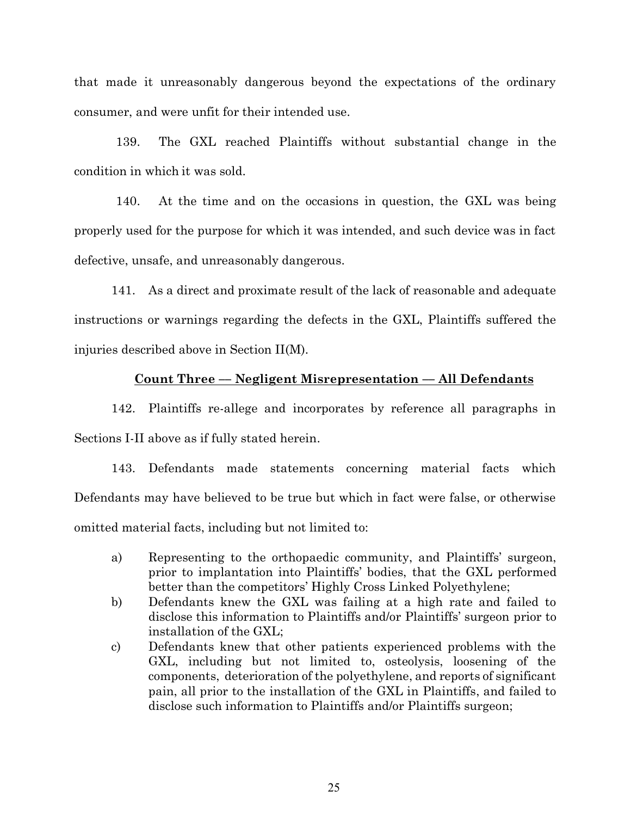that made it unreasonably dangerous beyond the expectations of the ordinary consumer, and were unfit for their intended use.

139. The GXL reached Plaintiffs without substantial change in the condition in which it was sold.

140. At the time and on the occasions in question, the GXL was being properly used for the purpose for which it was intended, and such device was in fact defective, unsafe, and unreasonably dangerous.

141. As a direct and proximate result of the lack of reasonable and adequate instructions or warnings regarding the defects in the GXL, Plaintiffs suffered the injuries described above in Section II(M).

## **Count Three –– Negligent Misrepresentation –– All Defendants**

142. Plaintiffs re-allege and incorporates by reference all paragraphs in Sections I-II above as if fully stated herein.

143. Defendants made statements concerning material facts which Defendants may have believed to be true but which in fact were false, or otherwise omitted material facts, including but not limited to:

- a) Representing to the orthopaedic community, and Plaintiffs' surgeon, prior to implantation into Plaintiffs' bodies, that the GXL performed better than the competitors' Highly Cross Linked Polyethylene;
- b) Defendants knew the GXL was failing at a high rate and failed to disclose this information to Plaintiffs and/or Plaintiffs' surgeon prior to installation of the GXL;
- c) Defendants knew that other patients experienced problems with the GXL, including but not limited to, osteolysis, loosening of the components, deterioration of the polyethylene, and reports of significant pain, all prior to the installation of the GXL in Plaintiffs, and failed to disclose such information to Plaintiffs and/or Plaintiffs surgeon;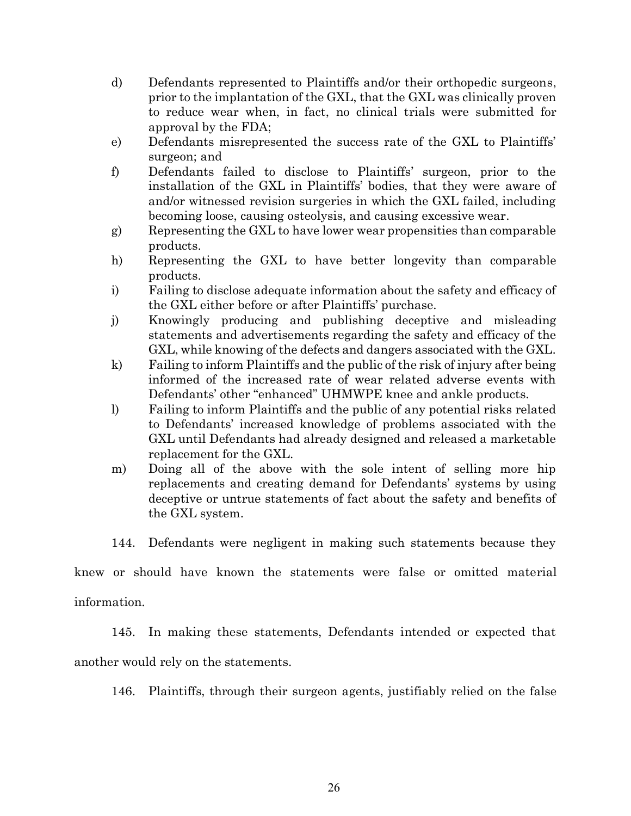- d) Defendants represented to Plaintiffs and/or their orthopedic surgeons, prior to the implantation of the GXL, that the GXL was clinically proven to reduce wear when, in fact, no clinical trials were submitted for approval by the FDA;
- e) Defendants misrepresented the success rate of the GXL to Plaintiffs' surgeon; and
- f) Defendants failed to disclose to Plaintiffs' surgeon, prior to the installation of the GXL in Plaintiffs' bodies, that they were aware of and/or witnessed revision surgeries in which the GXL failed, including becoming loose, causing osteolysis, and causing excessive wear.
- g) Representing the GXL to have lower wear propensities than comparable products.
- h) Representing the GXL to have better longevity than comparable products.
- i) Failing to disclose adequate information about the safety and efficacy of the GXL either before or after Plaintiffs' purchase.
- j) Knowingly producing and publishing deceptive and misleading statements and advertisements regarding the safety and efficacy of the GXL, while knowing of the defects and dangers associated with the GXL.
- k) Failing to inform Plaintiffs and the public of the risk of injury after being informed of the increased rate of wear related adverse events with Defendants' other "enhanced" UHMWPE knee and ankle products.
- l) Failing to inform Plaintiffs and the public of any potential risks related to Defendants' increased knowledge of problems associated with the GXL until Defendants had already designed and released a marketable replacement for the GXL.
- m) Doing all of the above with the sole intent of selling more hip replacements and creating demand for Defendants' systems by using deceptive or untrue statements of fact about the safety and benefits of the GXL system.

144. Defendants were negligent in making such statements because they

knew or should have known the statements were false or omitted material

information.

145. In making these statements, Defendants intended or expected that

another would rely on the statements.

146. Plaintiffs, through their surgeon agents, justifiably relied on the false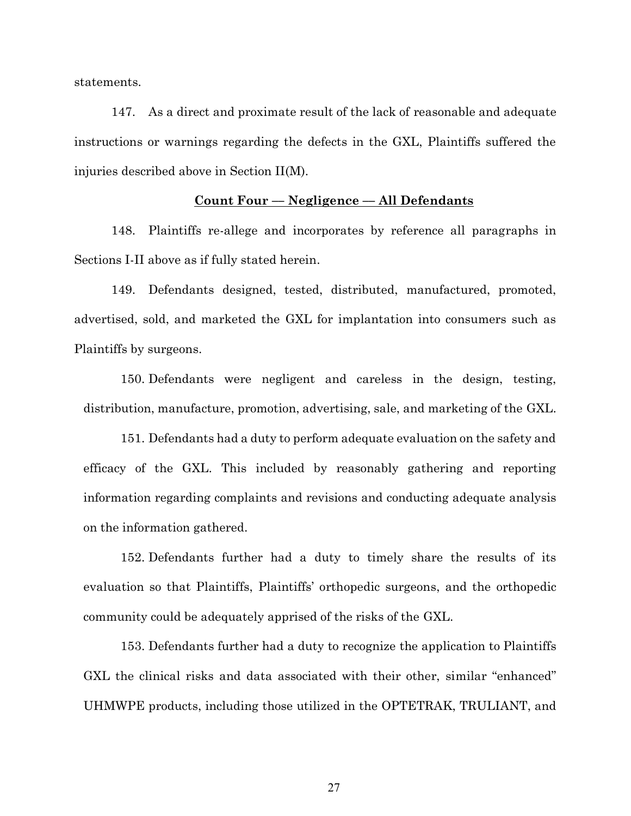statements.

147. As a direct and proximate result of the lack of reasonable and adequate instructions or warnings regarding the defects in the GXL, Plaintiffs suffered the injuries described above in Section II(M).

## **Count Four –– Negligence –– All Defendants**

148. Plaintiffs re-allege and incorporates by reference all paragraphs in Sections I-II above as if fully stated herein.

149. Defendants designed, tested, distributed, manufactured, promoted, advertised, sold, and marketed the GXL for implantation into consumers such as Plaintiffs by surgeons.

150. Defendants were negligent and careless in the design, testing, distribution, manufacture, promotion, advertising, sale, and marketing of the GXL.

151. Defendants had a duty to perform adequate evaluation on the safety and efficacy of the GXL. This included by reasonably gathering and reporting information regarding complaints and revisions and conducting adequate analysis on the information gathered.

152. Defendants further had a duty to timely share the results of its evaluation so that Plaintiffs, Plaintiffs' orthopedic surgeons, and the orthopedic community could be adequately apprised of the risks of the GXL.

153. Defendants further had a duty to recognize the application to Plaintiffs GXL the clinical risks and data associated with their other, similar "enhanced" UHMWPE products, including those utilized in the OPTETRAK, TRULIANT, and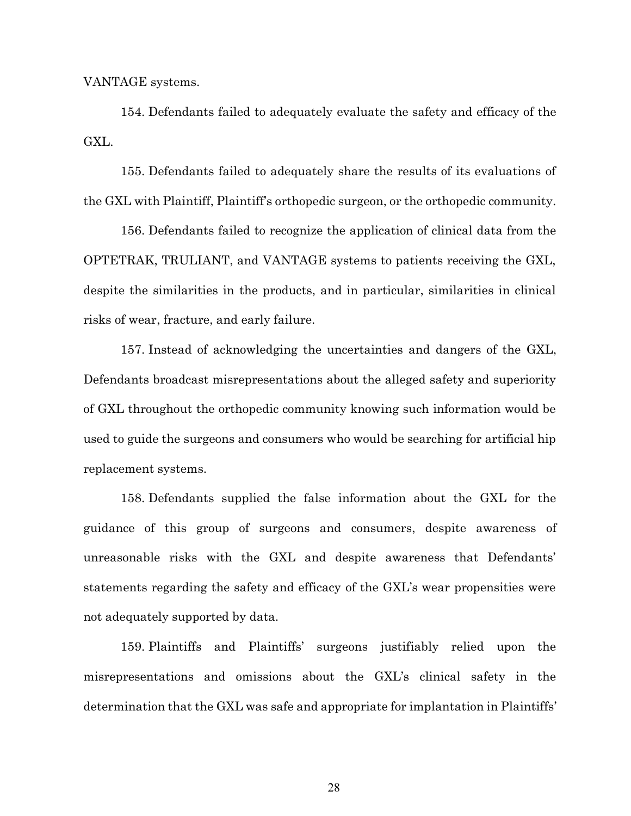VANTAGE systems.

154. Defendants failed to adequately evaluate the safety and efficacy of the GXL.

155. Defendants failed to adequately share the results of its evaluations of the GXL with Plaintiff, Plaintiff's orthopedic surgeon, or the orthopedic community.

156. Defendants failed to recognize the application of clinical data from the OPTETRAK, TRULIANT, and VANTAGE systems to patients receiving the GXL, despite the similarities in the products, and in particular, similarities in clinical risks of wear, fracture, and early failure.

157. Instead of acknowledging the uncertainties and dangers of the GXL, Defendants broadcast misrepresentations about the alleged safety and superiority of GXL throughout the orthopedic community knowing such information would be used to guide the surgeons and consumers who would be searching for artificial hip replacement systems.

158. Defendants supplied the false information about the GXL for the guidance of this group of surgeons and consumers, despite awareness of unreasonable risks with the GXL and despite awareness that Defendants' statements regarding the safety and efficacy of the GXL's wear propensities were not adequately supported by data.

159. Plaintiffs and Plaintiffs' surgeons justifiably relied upon the misrepresentations and omissions about the GXL's clinical safety in the determination that the GXL was safe and appropriate for implantation in Plaintiffs'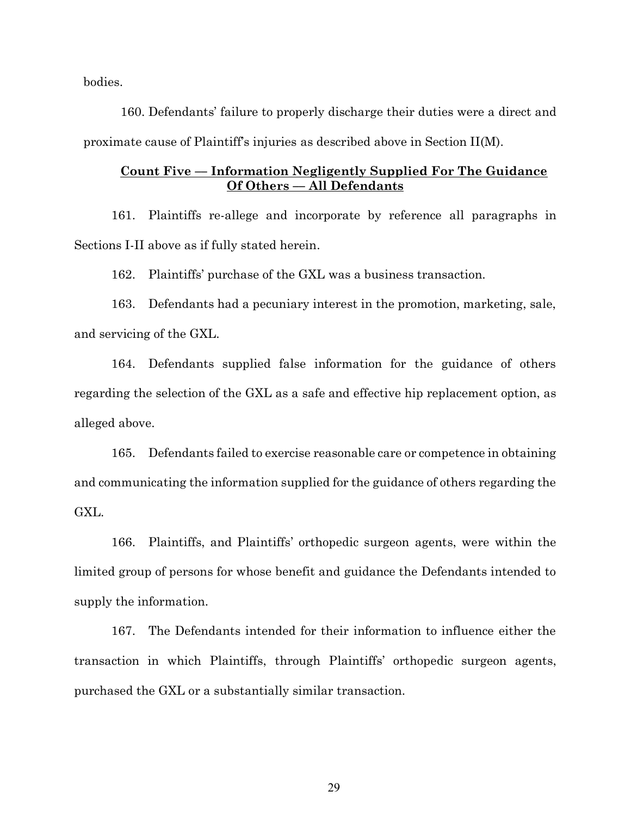bodies.

160. Defendants' failure to properly discharge their duties were a direct and proximate cause of Plaintiff's injuries as described above in Section II(M).

## **Count Five –– Information Negligently Supplied For The Guidance Of Others –– All Defendants**

161. Plaintiffs re-allege and incorporate by reference all paragraphs in Sections I-II above as if fully stated herein.

162. Plaintiffs' purchase of the GXL was a business transaction.

163. Defendants had a pecuniary interest in the promotion, marketing, sale, and servicing of the GXL.

164. Defendants supplied false information for the guidance of others regarding the selection of the GXL as a safe and effective hip replacement option, as alleged above.

165. Defendants failed to exercise reasonable care or competence in obtaining and communicating the information supplied for the guidance of others regarding the GXL.

166. Plaintiffs, and Plaintiffs' orthopedic surgeon agents, were within the limited group of persons for whose benefit and guidance the Defendants intended to supply the information.

167. The Defendants intended for their information to influence either the transaction in which Plaintiffs, through Plaintiffs' orthopedic surgeon agents, purchased the GXL or a substantially similar transaction.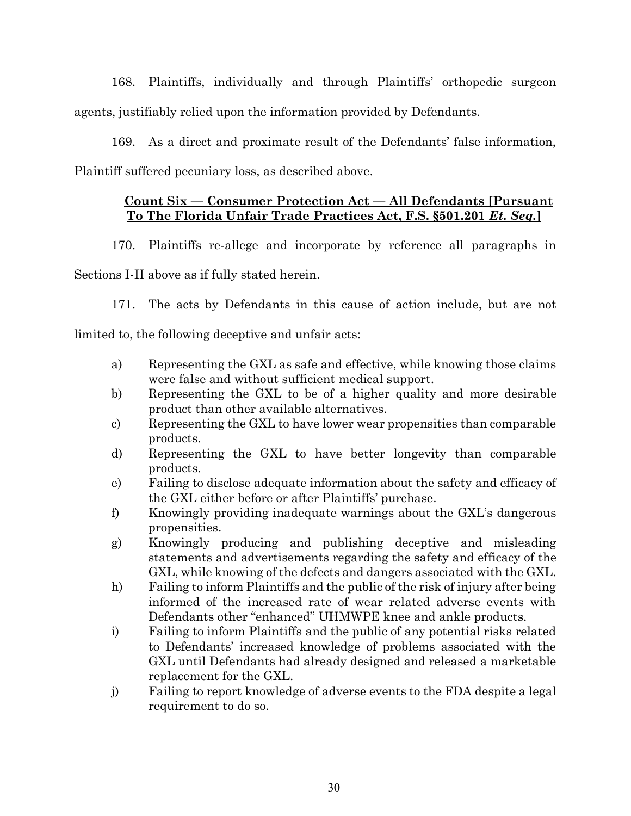168. Plaintiffs, individually and through Plaintiffs' orthopedic surgeon agents, justifiably relied upon the information provided by Defendants.

169. As a direct and proximate result of the Defendants' false information, Plaintiff suffered pecuniary loss, as described above.

# **Count Six –– Consumer Protection Act –– All Defendants [Pursuant To The Florida Unfair Trade Practices Act, F.S. §501.201** *Et. Seq.***]**

170. Plaintiffs re-allege and incorporate by reference all paragraphs in

Sections I-II above as if fully stated herein.

171. The acts by Defendants in this cause of action include, but are not

limited to, the following deceptive and unfair acts:

- a) Representing the GXL as safe and effective, while knowing those claims were false and without sufficient medical support.
- b) Representing the GXL to be of a higher quality and more desirable product than other available alternatives.
- c) Representing the GXL to have lower wear propensities than comparable products.
- d) Representing the GXL to have better longevity than comparable products.
- e) Failing to disclose adequate information about the safety and efficacy of the GXL either before or after Plaintiffs' purchase.
- f) Knowingly providing inadequate warnings about the GXL's dangerous propensities.
- g) Knowingly producing and publishing deceptive and misleading statements and advertisements regarding the safety and efficacy of the GXL, while knowing of the defects and dangers associated with the GXL.
- h) Failing to inform Plaintiffs and the public of the risk of injury after being informed of the increased rate of wear related adverse events with Defendants other "enhanced" UHMWPE knee and ankle products.
- i) Failing to inform Plaintiffs and the public of any potential risks related to Defendants' increased knowledge of problems associated with the GXL until Defendants had already designed and released a marketable replacement for the GXL.
- j) Failing to report knowledge of adverse events to the FDA despite a legal requirement to do so.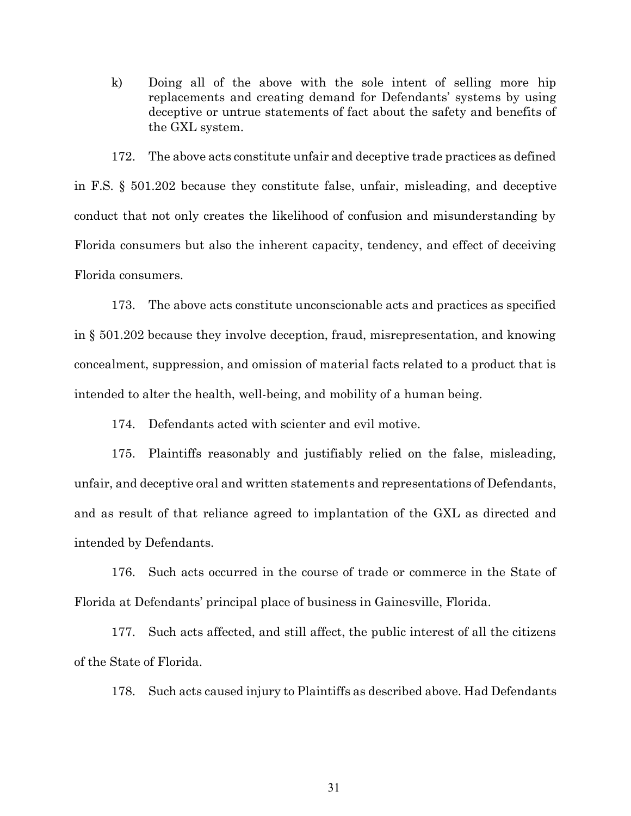k) Doing all of the above with the sole intent of selling more hip replacements and creating demand for Defendants' systems by using deceptive or untrue statements of fact about the safety and benefits of the GXL system.

172. The above acts constitute unfair and deceptive trade practices as defined in F.S. § 501.202 because they constitute false, unfair, misleading, and deceptive conduct that not only creates the likelihood of confusion and misunderstanding by Florida consumers but also the inherent capacity, tendency, and effect of deceiving Florida consumers.

173. The above acts constitute unconscionable acts and practices as specified in § 501.202 because they involve deception, fraud, misrepresentation, and knowing concealment, suppression, and omission of material facts related to a product that is intended to alter the health, well-being, and mobility of a human being.

174. Defendants acted with scienter and evil motive.

175. Plaintiffs reasonably and justifiably relied on the false, misleading, unfair, and deceptive oral and written statements and representations of Defendants, and as result of that reliance agreed to implantation of the GXL as directed and intended by Defendants.

176. Such acts occurred in the course of trade or commerce in the State of Florida at Defendants' principal place of business in Gainesville, Florida.

177. Such acts affected, and still affect, the public interest of all the citizens of the State of Florida.

178. Such acts caused injury to Plaintiffs as described above. Had Defendants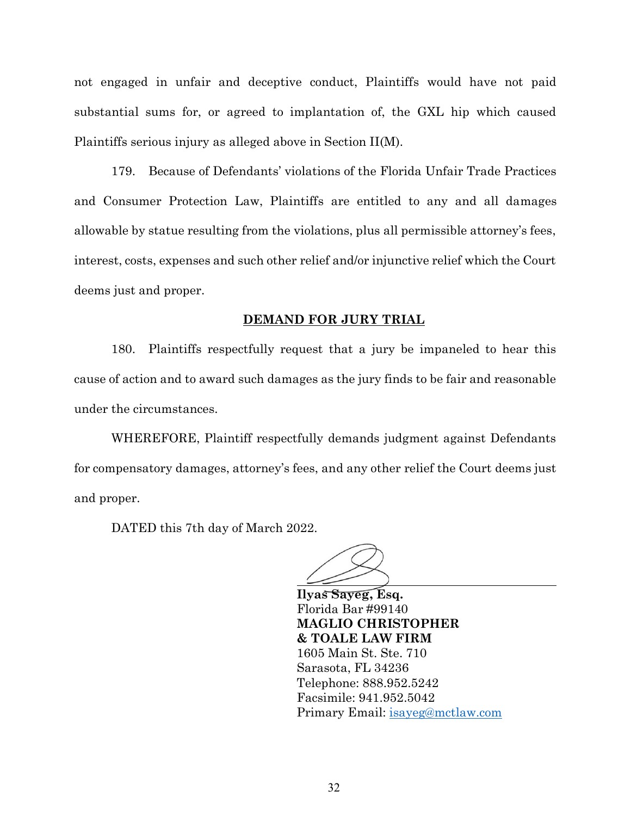not engaged in unfair and deceptive conduct, Plaintiffs would have not paid substantial sums for, or agreed to implantation of, the GXL hip which caused Plaintiffs serious injury as alleged above in Section II(M).

179. Because of Defendants' violations of the Florida Unfair Trade Practices and Consumer Protection Law, Plaintiffs are entitled to any and all damages allowable by statue resulting from the violations, plus all permissible attorney's fees, interest, costs, expenses and such other relief and/or injunctive relief which the Court deems just and proper.

#### **DEMAND FOR JURY TRIAL**

180. Plaintiffs respectfully request that a jury be impaneled to hear this cause of action and to award such damages as the jury finds to be fair and reasonable under the circumstances.

WHEREFORE, Plaintiff respectfully demands judgment against Defendants for compensatory damages, attorney's fees, and any other relief the Court deems just and proper.

DATED this 7th day of March 2022.

**Ilyas Sayeg, Esq.**  Florida Bar #99140 **MAGLIO CHRISTOPHER & TOALE LAW FIRM** 1605 Main St. Ste. 710 Sarasota, FL 34236 Telephone: 888.952.5242 Facsimile: 941.952.5042 Primary Email: [isayeg@mctlaw.com](mailto:isayeg@mctlaw.com)